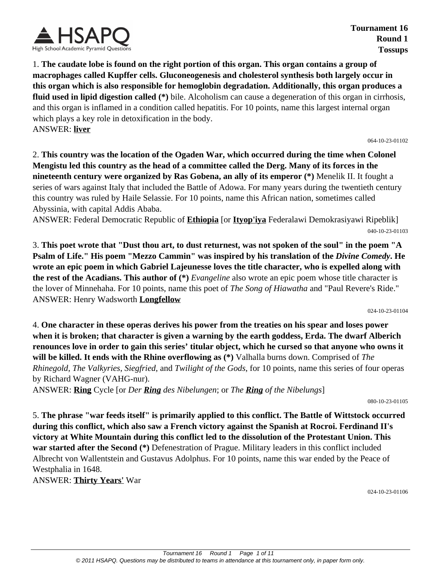

**Tournament 16 Round 1 Tossups**

1. **The caudate lobe is found on the right portion of this organ. This organ contains a group of macrophages called Kupffer cells. Gluconeogenesis and cholesterol synthesis both largely occur in this organ which is also responsible for hemoglobin degradation. Additionally, this organ produces a fluid used in lipid digestion called (\*)** bile. Alcoholism can cause a degeneration of this organ in cirrhosis, and this organ is inflamed in a condition called hepatitis. For 10 points, name this largest internal organ which plays a key role in detoxification in the body. ANSWER: **liver**

064-10-23-01102

2. **This country was the location of the Ogaden War, which occurred during the time when Colonel Mengistu led this country as the head of a committee called the Derg. Many of its forces in the nineteenth century were organized by Ras Gobena, an ally of its emperor (\*)** Menelik II. It fought a series of wars against Italy that included the Battle of Adowa. For many years during the twentieth century this country was ruled by Haile Selassie. For 10 points, name this African nation, sometimes called Abyssinia, with capital Addis Ababa.

ANSWER: Federal Democratic Republic of **Ethiopia** [or **Ityop'iya** Federalawi Demokrasiyawi Ripeblik] 040-10-23-01103

3. **This poet wrote that "Dust thou art, to dust returnest, was not spoken of the soul" in the poem "A Psalm of Life." His poem "Mezzo Cammin" was inspired by his translation of the** *Divine Comedy***. He wrote an epic poem in which Gabriel Lajeunesse loves the title character, who is expelled along with the rest of the Acadians. This author of (\*)** *Evangeline* also wrote an epic poem whose title character is the lover of Minnehaha. For 10 points, name this poet of *The Song of Hiawatha* and "Paul Revere's Ride." ANSWER: Henry Wadsworth **Longfellow**

024-10-23-01104

4. **One character in these operas derives his power from the treaties on his spear and loses power when it is broken; that character is given a warning by the earth goddess, Erda. The dwarf Alberich renounces love in order to gain this series' titular object, which he cursed so that anyone who owns it will be killed. It ends with the Rhine overflowing as (\*)** Valhalla burns down. Comprised of *The Rhinegold*, *The Valkyries*, *Siegfried*, and *Twilight of the Gods*, for 10 points, name this series of four operas by Richard Wagner (VAHG-nur).

ANSWER: **Ring** Cycle [or *Der Ring des Nibelungen*; or *The Ring of the Nibelungs*]

080-10-23-01105

5. **The phrase "war feeds itself" is primarily applied to this conflict. The Battle of Wittstock occurred during this conflict, which also saw a French victory against the Spanish at Rocroi. Ferdinand II's victory at White Mountain during this conflict led to the dissolution of the Protestant Union. This war started after the Second (\*)** Defenestration of Prague. Military leaders in this conflict included Albrecht von Wallentstein and Gustavus Adolphus. For 10 points, name this war ended by the Peace of Westphalia in 1648.

ANSWER: **Thirty Years'** War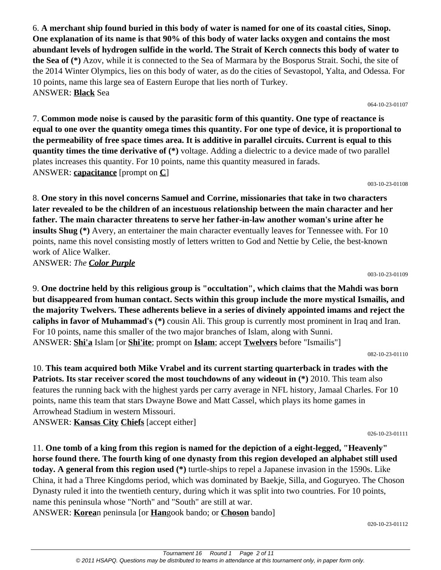6. **A merchant ship found buried in this body of water is named for one of its coastal cities, Sinop. One explanation of its name is that 90% of this body of water lacks oxygen and contains the most abundant levels of hydrogen sulfide in the world. The Strait of Kerch connects this body of water to the Sea of (\*)** Azov, while it is connected to the Sea of Marmara by the Bosporus Strait. Sochi, the site of the 2014 Winter Olympics, lies on this body of water, as do the cities of Sevastopol, Yalta, and Odessa. For 10 points, name this large sea of Eastern Europe that lies north of Turkey. ANSWER: **Black** Sea

064-10-23-01107

7. **Common mode noise is caused by the parasitic form of this quantity. One type of reactance is equal to one over the quantity omega times this quantity. For one type of device, it is proportional to the permeability of free space times area. It is additive in parallel circuits. Current is equal to this quantity times the time derivative of (\*)** voltage. Adding a dielectric to a device made of two parallel plates increases this quantity. For 10 points, name this quantity measured in farads. ANSWER: **capacitance** [prompt on **C**]

003-10-23-01108

8. **One story in this novel concerns Samuel and Corrine, missionaries that take in two characters later revealed to be the children of an incestuous relationship between the main character and her father. The main character threatens to serve her father-in-law another woman's urine after he insults Shug** (\*) Avery, an entertainer the main character eventually leaves for Tennessee with. For 10 points, name this novel consisting mostly of letters written to God and Nettie by Celie, the best-known work of Alice Walker. ANSWER: *The Color Purple*

003-10-23-01109

9. **One doctrine held by this religious group is "occultation", which claims that the Mahdi was born but disappeared from human contact. Sects within this group include the more mystical Ismailis, and the majority Twelvers. These adherents believe in a series of divinely appointed imams and reject the caliphs in favor of Muhammad's (\*)** cousin Ali. This group is currently most prominent in Iraq and Iran. For 10 points, name this smaller of the two major branches of Islam, along with Sunni. ANSWER: **Shi'a** Islam [or **Shi'ite**; prompt on **Islam**; accept **Twelvers** before "Ismailis"]

082-10-23-01110

10. **This team acquired both Mike Vrabel and its current starting quarterback in trades with the Patriots. Its star receiver scored the most touchdowns of any wideout in (\*)** 2010. This team also features the running back with the highest yards per carry average in NFL history, Jamaal Charles. For 10 points, name this team that stars Dwayne Bowe and Matt Cassel, which plays its home games in Arrowhead Stadium in western Missouri.

ANSWER: **Kansas City Chiefs** [accept either]

026-10-23-01111

11. **One tomb of a king from this region is named for the depiction of a eight-legged, "Heavenly" horse found there. The fourth king of one dynasty from this region developed an alphabet still used today. A general from this region used (\*)** turtle-ships to repel a Japanese invasion in the 1590s. Like China, it had a Three Kingdoms period, which was dominated by Baekje, Silla, and Goguryeo. The Choson Dynasty ruled it into the twentieth century, during which it was split into two countries. For 10 points, name this peninsula whose "North" and "South" are still at war. ANSWER: **Korea**n peninsula [or **Han**gook bando; or **Choson** bando]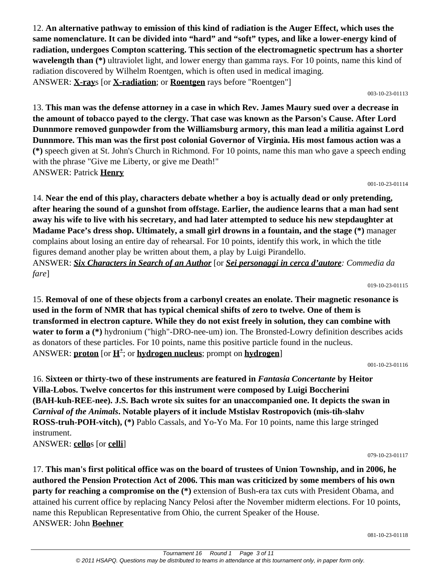12. **An alternative pathway to emission of this kind of radiation is the Auger Effect, which uses the same nomenclature. It can be divided into "hard" and "soft" types, and like a lower-energy kind of radiation, undergoes Compton scattering. This section of the electromagnetic spectrum has a shorter wavelength than (\*)** ultraviolet light, and lower energy than gamma rays. For 10 points, name this kind of radiation discovered by Wilhelm Roentgen, which is often used in medical imaging. ANSWER: **X-ray**s [or **X-radiation**; or **Roentgen** rays before "Roentgen"]

003-10-23-01113

13. **This man was the defense attorney in a case in which Rev. James Maury sued over a decrease in the amount of tobacco payed to the clergy. That case was known as the Parson's Cause. After Lord Dunnmore removed gunpowder from the Williamsburg armory, this man lead a militia against Lord Dunnmore. This man was the first post colonial Governor of Virginia. His most famous action was a (\*)** speech given at St. John's Church in Richmond. For 10 points, name this man who gave a speech ending with the phrase "Give me Liberty, or give me Death!" ANSWER: Patrick **Henry**

001-10-23-01114

14. **Near the end of this play, characters debate whether a boy is actually dead or only pretending, after hearing the sound of a gunshot from offstage. Earlier, the audience learns that a man had sent away his wife to live with his secretary, and had later attempted to seduce his new stepdaughter at Madame Pace's dress shop. Ultimately, a small girl drowns in a fountain, and the stage (\*)** manager complains about losing an entire day of rehearsal. For 10 points, identify this work, in which the title figures demand another play be written about them, a play by Luigi Pirandello. ANSWER: *Six Characters in Search of an Author* [or *Sei personaggi in cerca d'autore: Commedia da fare*]

019-10-23-01115

15. **Removal of one of these objects from a carbonyl creates an enolate. Their magnetic resonance is used in the form of NMR that has typical chemical shifts of zero to twelve. One of them is transformed in electron capture. While they do not exist freely in solution, they can combine with water to form a (\*)** hydronium ("high"-DRO-nee-um) ion. The Bronsted-Lowry definition describes acids as donators of these particles. For 10 points, name this positive particle found in the nucleus. ANSWER: **proton** [or **H +** ; or **hydrogen nucleus**; prompt on **hydrogen**]

001-10-23-01116

16. **Sixteen or thirty-two of these instruments are featured in** *Fantasia Concertante* **by Heitor Villa-Lobos. Twelve concertos for this instrument were composed by Luigi Boccherini (BAH-kuh-REE-nee). J.S. Bach wrote six suites for an unaccompanied one. It depicts the swan in**  *Carnival of the Animals***. Notable players of it include Mstislav Rostropovich (mis-tih-slahv ROSS-truh-POH-vitch), (\*)** Pablo Cassals, and Yo-Yo Ma. For 10 points, name this large stringed instrument.

ANSWER: **cello**s [or **celli**]

079-10-23-01117

17. **This man's first political office was on the board of trustees of Union Township, and in 2006, he authored the Pension Protection Act of 2006. This man was criticized by some members of his own party for reaching a compromise on the (\*)** extension of Bush-era tax cuts with President Obama, and attained his current office by replacing Nancy Pelosi after the November midterm elections. For 10 points, name this Republican Representative from Ohio, the current Speaker of the House.

ANSWER: John **Boehner**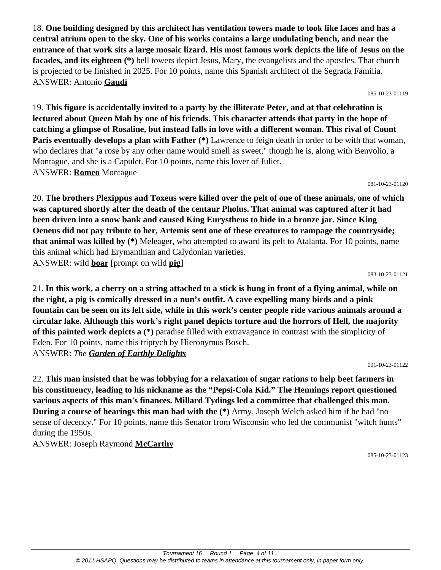18. **One building designed by this architect has ventilation towers made to look like faces and has a central atrium open to the sky. One of his works contains a large undulating bench, and near the entrance of that work sits a large mosaic lizard. His most famous work depicts the life of Jesus on the facades, and its eighteen (\*)** bell towers depict Jesus, Mary, the evangelists and the apostles. That church is projected to be finished in 2025. For 10 points, name this Spanish architect of the Segrada Familia. ANSWER: Antonio **Gaudí**

085-10-23-01119

19. **This figure is accidentally invited to a party by the illiterate Peter, and at that celebration is lectured about Queen Mab by one of his friends. This character attends that party in the hope of catching a glimpse of Rosaline, but instead falls in love with a different woman. This rival of Count Paris eventually develops a plan with Father (\*)** Lawrence to feign death in order to be with that woman, who declares that "a rose by any other name would smell as sweet," though he is, along with Benvolio, a Montague, and she is a Capulet. For 10 points, name this lover of Juliet. ANSWER: **Romeo** Montague

081-10-23-01120

20. **The brothers Plexippus and Toxeus were killed over the pelt of one of these animals, one of which was captured shortly after the death of the centaur Pholus. That animal was captured after it had been driven into a snow bank and caused King Eurystheus to hide in a bronze jar. Since King Oeneus did not pay tribute to her, Artemis sent one of these creatures to rampage the countryside; that animal was killed by (\*)** Meleager, who attempted to award its pelt to Atalanta. For 10 points, name this animal which had Erymanthian and Calydonian varieties. ANSWER: wild **boar** [prompt on wild **pig**]

083-10-23-01121

21. **In this work, a cherry on a string attached to a stick is hung in front of a flying animal, while on the right, a pig is comically dressed in a nun's outfit. A cave expelling many birds and a pink fountain can be seen on its left side, while in this work's center people ride various animals around a circular lake. Although this work's right panel depicts torture and the horrors of Hell, the majority of this painted work depicts a (\*)** paradise filled with extravagance in contrast with the simplicity of Eden. For 10 points, name this triptych by Hieronymus Bosch. ANSWER: *The Garden of Earthly Delights*

001-10-23-01122

22. **This man insisted that he was lobbying for a relaxation of sugar rations to help beet farmers in his constituency, leading to his nickname as the "Pepsi-Cola Kid." The Hennings report questioned various aspects of this man's finances. Millard Tydings led a committee that challenged this man. During a course of hearings this man had with the (\*)** Army, Joseph Welch asked him if he had "no sense of decency." For 10 points, name this Senator from Wisconsin who led the communist "witch hunts" during the 1950s.

ANSWER: Joseph Raymond **McCarthy**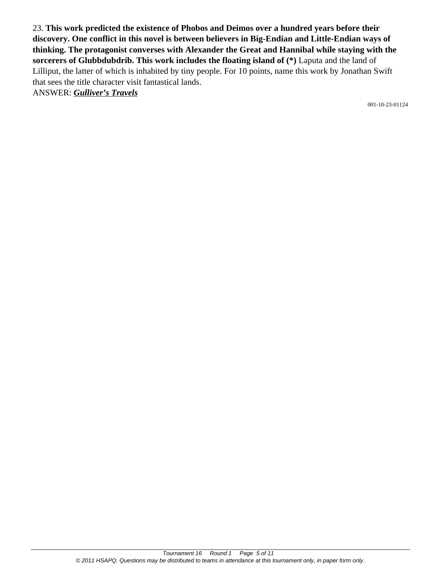23. **This work predicted the existence of Phobos and Deimos over a hundred years before their discovery. One conflict in this novel is between believers in Big-Endian and Little-Endian ways of thinking. The protagonist converses with Alexander the Great and Hannibal while staying with the sorcerers of Glubbdubdrib. This work includes the floating island of (\*)** Laputa and the land of Lilliput, the latter of which is inhabited by tiny people. For 10 points, name this work by Jonathan Swift that sees the title character visit fantastical lands.

ANSWER: *Gulliver's Travels*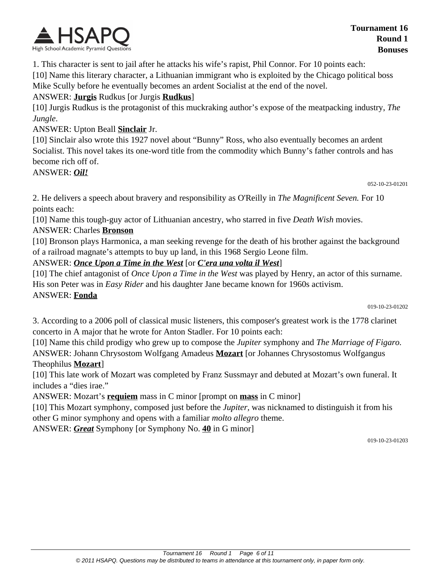

1. This character is sent to jail after he attacks his wife's rapist, Phil Connor. For 10 points each:

[10] Name this literary character, a Lithuanian immigrant who is exploited by the Chicago political boss Mike Scully before he eventually becomes an ardent Socialist at the end of the novel.

### ANSWER: **Jurgis** Rudkus [or Jurgis **Rudkus**]

[10] Jurgis Rudkus is the protagonist of this muckraking author's expose of the meatpacking industry, *The Jungle*.

#### ANSWER: Upton Beall **Sinclair** Jr.

[10] Sinclair also wrote this 1927 novel about "Bunny" Ross, who also eventually becomes an ardent Socialist. This novel takes its one-word title from the commodity which Bunny's father controls and has become rich off of.

#### ANSWER: *Oil!*

052-10-23-01201

2. He delivers a speech about bravery and responsibility as O'Reilly in *The Magnificent Seven.* For 10 points each:

[10] Name this tough-guy actor of Lithuanian ancestry, who starred in five *Death Wish* movies.

#### ANSWER: Charles **Bronson**

[10] Bronson plays Harmonica, a man seeking revenge for the death of his brother against the background of a railroad magnate's attempts to buy up land, in this 1968 Sergio Leone film.

#### ANSWER: *Once Upon a Time in the West* [or *C'era una volta il West*]

[10] The chief antagonist of *Once Upon a Time in the West* was played by Henry, an actor of this surname. His son Peter was in *Easy Rider* and his daughter Jane became known for 1960s activism. ANSWER: **Fonda**

019-10-23-01202

3. According to a 2006 poll of classical music listeners, this composer's greatest work is the 1778 clarinet concerto in A major that he wrote for Anton Stadler. For 10 points each:

[10] Name this child prodigy who grew up to compose the *Jupiter* symphony and *The Marriage of Figaro.* ANSWER: Johann Chrysostom Wolfgang Amadeus **Mozart** [or Johannes Chrysostomus Wolfgangus Theophilus **Mozart**]

[10] This late work of Mozart was completed by Franz Sussmayr and debuted at Mozart's own funeral. It includes a "dies irae."

ANSWER: Mozart's **requiem** mass in C minor [prompt on **mass** in C minor]

[10] This Mozart symphony, composed just before the *Jupiter,* was nicknamed to distinguish it from his other G minor symphony and opens with a familiar *molto allegro* theme.

ANSWER: *Great* Symphony [or Symphony No. **40** in G minor]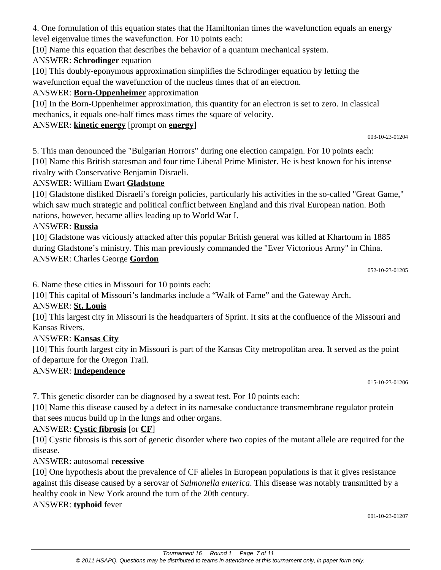4. One formulation of this equation states that the Hamiltonian times the wavefunction equals an energy level eigenvalue times the wavefunction. For 10 points each:

[10] Name this equation that describes the behavior of a quantum mechanical system.

## ANSWER: **Schrodinger** equation

[10] This doubly-eponymous approximation simplifies the Schrodinger equation by letting the wavefunction equal the wavefunction of the nucleus times that of an electron.

# ANSWER: **Born-Oppenheimer** approximation

[10] In the Born-Oppenheimer approximation, this quantity for an electron is set to zero. In classical mechanics, it equals one-half times mass times the square of velocity.

## ANSWER: **kinetic energy** [prompt on **energy**]

#### 003-10-23-01204

5. This man denounced the "Bulgarian Horrors" during one election campaign. For 10 points each: [10] Name this British statesman and four time Liberal Prime Minister. He is best known for his intense rivalry with Conservative Benjamin Disraeli.

## ANSWER: William Ewart **Gladstone**

[10] Gladstone disliked Disraeli's foreign policies, particularly his activities in the so-called "Great Game," which saw much strategic and political conflict between England and this rival European nation. Both nations, however, became allies leading up to World War I.

## ANSWER: **Russia**

[10] Gladstone was viciously attacked after this popular British general was killed at Khartoum in 1885 during Gladstone's ministry. This man previously commanded the "Ever Victorious Army" in China. ANSWER: Charles George **Gordon**

```
052-10-23-01205
```
6. Name these cities in Missouri for 10 points each:

[10] This capital of Missouri's landmarks include a "Walk of Fame" and the Gateway Arch.

# ANSWER: **St. Louis**

[10] This largest city in Missouri is the headquarters of Sprint. It sits at the confluence of the Missouri and Kansas Rivers.

## ANSWER: **Kansas City**

[10] This fourth largest city in Missouri is part of the Kansas City metropolitan area. It served as the point of departure for the Oregon Trail.

## ANSWER: **Independence**

015-10-23-01206

7. This genetic disorder can be diagnosed by a sweat test. For 10 points each:

[10] Name this disease caused by a defect in its namesake conductance transmembrane regulator protein that sees mucus build up in the lungs and other organs.

# ANSWER: **Cystic fibrosis** [or **CF**]

[10] Cystic fibrosis is this sort of genetic disorder where two copies of the mutant allele are required for the disease.

# ANSWER: autosomal **recessive**

[10] One hypothesis about the prevalence of CF alleles in European populations is that it gives resistance against this disease caused by a serovar of *Salmonella enterica*. This disease was notably transmitted by a healthy cook in New York around the turn of the 20th century.

ANSWER: **typhoid** fever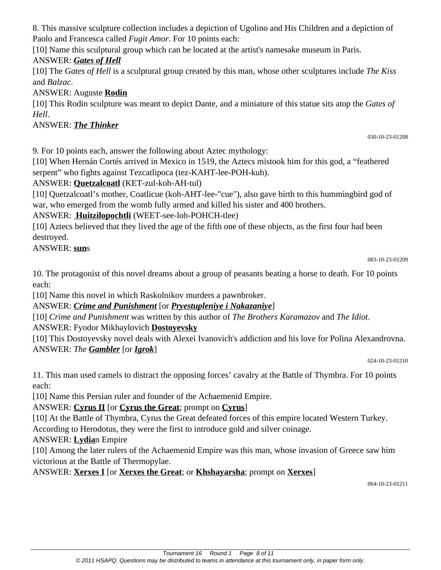8. This massive sculpture collection includes a depiction of Ugolino and His Children and a depiction of Paolo and Francesca called *Fugit Amor*. For 10 points each:

[10] Name this sculptural group which can be located at the artist's namesake museum in Paris.

# ANSWER: *Gates of Hell*

[10] The *Gates of Hell* is a sculptural group created by this man, whose other sculptures include *The Kiss* and *Balzac*.

## ANSWER: Auguste **Rodin**

[10] This Rodin sculpture was meant to depict Dante, and a miniature of this statue sits atop the *Gates of Hell*.

# ANSWER: *The Thinker*

030-10-23-01208

9. For 10 points each, answer the following about Aztec mythology:

[10] When Hernán Cortés arrived in Mexico in 1519, the Aztecs mistook him for this god, a "feathered serpent" who fights against Tezcatlipoca (tez-KAHT-lee-POH-kuh).

ANSWER: **Quetzalcoatl** (KET-zul-koh-AH-tul)

[10] Quetzalcoatl's mother, Coatlicue (koh-AHT-lee-"cue"), also gave birth to this hummingbird god of war, who emerged from the womb fully armed and killed his sister and 400 brothers.

ANSWER: **Huitzilopochtli** (WEET-see-loh-POHCH-tlee)

[10] Aztecs believed that they lived the age of the fifth one of these objects, as the first four had been destroyed.

## ANSWER: **sun**s

083-10-23-01209

10. The protagonist of this novel dreams about a group of peasants beating a horse to death. For 10 points each:

[10] Name this novel in which Raskolnikov murders a pawnbroker.

ANSWER: *Crime and Punishment* [or *Pryestupleniye i Nakazaniye*]

[10] *Crime and Punishment* was written by this author of *The Brothers Karamazov* and *The Idiot*.

# ANSWER: Fyodor Mikhaylovich **Dostoyevsky**

[10] This Dostoyevsky novel deals with Alexei Ivanovich's addiction and his love for Polina Alexandrovna. ANSWER: *The Gambler* [or *Igrok*]

024-10-23-01210

11. This man used camels to distract the opposing forces' cavalry at the Battle of Thymbra. For 10 points each:

[10] Name this Persian ruler and founder of the Achaemenid Empire.

# ANSWER: **Cyrus II** [or **Cyrus the Great**; prompt on **Cyrus**]

[10] At the Battle of Thymbra, Cyrus the Great defeated forces of this empire located Western Turkey.

According to Herodotus, they were the first to introduce gold and silver coinage.

# ANSWER: **Lydia**n Empire

[10] Among the later rulers of the Achaemenid Empire was this man, whose invasion of Greece saw him victorious at the Battle of Thermopylae.

ANSWER: **Xerxes I** [or **Xerxes the Great**; or **Khshayarsha**; prompt on **Xerxes**]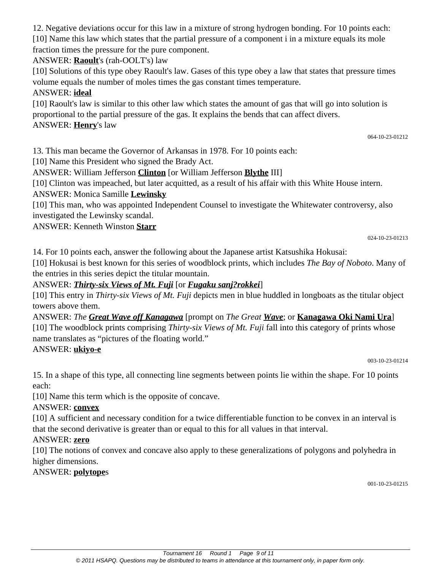12. Negative deviations occur for this law in a mixture of strong hydrogen bonding. For 10 points each: [10] Name this law which states that the partial pressure of a component i in a mixture equals its mole fraction times the pressure for the pure component.

### ANSWER: **Raoult**'s (rah-OOLT's) law

[10] Solutions of this type obey Raoult's law. Gases of this type obey a law that states that pressure times volume equals the number of moles times the gas constant times temperature.

#### ANSWER: **ideal**

[10] Raoult's law is similar to this other law which states the amount of gas that will go into solution is proportional to the partial pressure of the gas. It explains the bends that can affect divers. ANSWER: **Henry**'s law

064-10-23-01212

13. This man became the Governor of Arkansas in 1978. For 10 points each:

[10] Name this President who signed the Brady Act.

ANSWER: William Jefferson **Clinton** [or William Jefferson **Blythe** III]

[10] Clinton was impeached, but later acquitted, as a result of his affair with this White House intern. ANSWER: Monica Samille **Lewinsky**

[10] This man, who was appointed Independent Counsel to investigate the Whitewater controversy, also

investigated the Lewinsky scandal.

#### ANSWER: Kenneth Winston **Starr**

024-10-23-01213

14. For 10 points each, answer the following about the Japanese artist Katsushika Hokusai:

[10] Hokusai is best known for this series of woodblock prints, which includes *The Bay of Noboto*. Many of the entries in this series depict the titular mountain.

ANSWER: *Thirty-six Views of Mt. Fuji* [or *Fugaku sanj?rokkei*]

[10] This entry in *Thirty-six Views of Mt. Fuji* depicts men in blue huddled in longboats as the titular object towers above them.

ANSWER: *The Great Wave off Kanagawa* [prompt on *The Great Wave*; or **Kanagawa Oki Nami Ura**] [10] The woodblock prints comprising *Thirty-six Views of Mt. Fuji* fall into this category of prints whose name translates as "pictures of the floating world."

#### ANSWER: **ukiyo-e**

003-10-23-01214

15. In a shape of this type, all connecting line segments between points lie within the shape. For 10 points each:

[10] Name this term which is the opposite of concave.

#### ANSWER: **convex**

[10] A sufficient and necessary condition for a twice differentiable function to be convex in an interval is that the second derivative is greater than or equal to this for all values in that interval.

#### ANSWER: **zero**

[10] The notions of convex and concave also apply to these generalizations of polygons and polyhedra in higher dimensions.

#### ANSWER: **polytope**s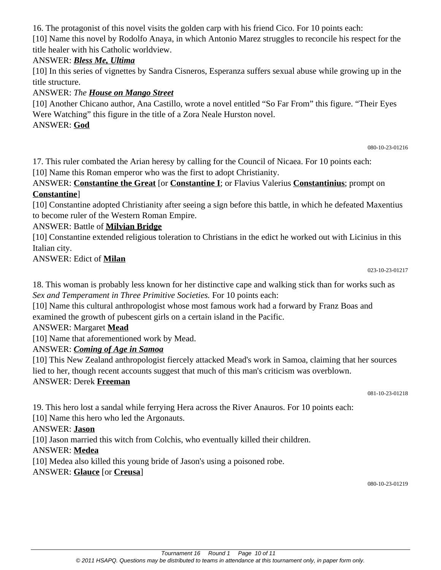16. The protagonist of this novel visits the golden carp with his friend Cico. For 10 points each:

[10] Name this novel by Rodolfo Anaya, in which Antonio Marez struggles to reconcile his respect for the title healer with his Catholic worldview.

### ANSWER: *Bless Me, Ultima*

[10] In this series of vignettes by Sandra Cisneros, Esperanza suffers sexual abuse while growing up in the title structure.

### ANSWER: *The House on Mango Street*

[10] Another Chicano author, Ana Castillo, wrote a novel entitled "So Far From" this figure. "Their Eyes Were Watching" this figure in the title of a Zora Neale Hurston novel. ANSWER: **God**

080-10-23-01216

17. This ruler combated the Arian heresy by calling for the Council of Nicaea. For 10 points each: [10] Name this Roman emperor who was the first to adopt Christianity.

#### ANSWER: **Constantine the Great** [or **Constantine I**; or Flavius Valerius **Constantinius**; prompt on **Constantine**]

[10] Constantine adopted Christianity after seeing a sign before this battle, in which he defeated Maxentius to become ruler of the Western Roman Empire.

### ANSWER: Battle of **Milvian Bridge**

[10] Constantine extended religious toleration to Christians in the edict he worked out with Licinius in this Italian city.

#### ANSWER: Edict of **Milan**

18. This woman is probably less known for her distinctive cape and walking stick than for works such as *Sex and Temperament in Three Primitive Societies.* For 10 points each:

[10] Name this cultural anthropologist whose most famous work had a forward by Franz Boas and examined the growth of pubescent girls on a certain island in the Pacific.

#### ANSWER: Margaret **Mead**

[10] Name that aforementioned work by Mead.

### ANSWER: *Coming of Age in Samoa*

[10] This New Zealand anthropologist fiercely attacked Mead's work in Samoa, claiming that her sources lied to her, though recent accounts suggest that much of this man's criticism was overblown.

### ANSWER: Derek **Freeman**

081-10-23-01218

19. This hero lost a sandal while ferrying Hera across the River Anauros. For 10 points each:

[10] Name this hero who led the Argonauts.

#### ANSWER: **Jason**

[10] Jason married this witch from Colchis, who eventually killed their children.

### ANSWER: **Medea**

[10] Medea also killed this young bride of Jason's using a poisoned robe.

### ANSWER: **Glauce** [or **Creusa**]